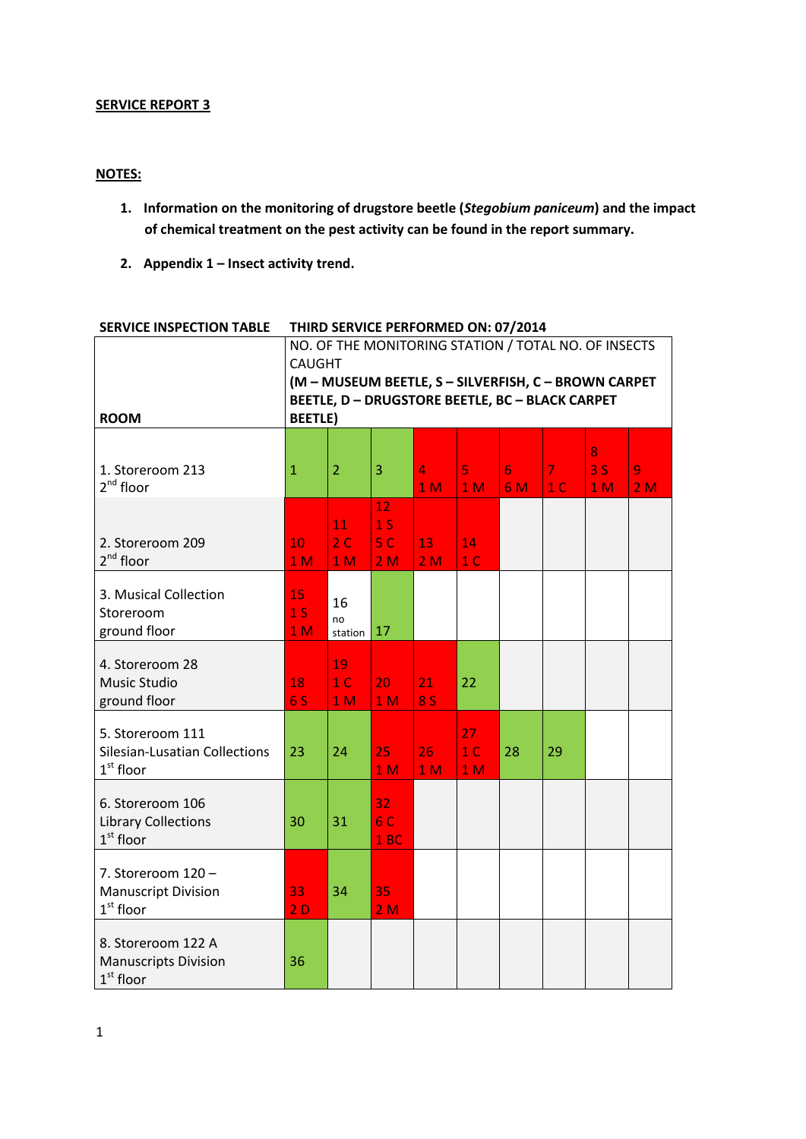## **SERVICE REPORT 3**

# **NOTES:**

- **1. Information on the monitoring of drugstore beetle (***Stegobium paniceum***) and the impact of chemical treatment on the pest activity can be found in the report summary.**
- **2. Appendix 1 – Insect activity trend.**

| <b>ROOM</b>                                                       | NO. OF THE MONITORING STATION / TOTAL NO. OF INSECTS<br><b>CAUGHT</b><br>(M - MUSEUM BEETLE, S - SILVERFISH, C - BROWN CARPET<br><b>BEETLE, D - DRUGSTORE BEETLE, BC - BLACK CARPET</b><br><b>BEETLE)</b> |                                        |                                                          |                                  |                                        |                        |                                  |                           |         |
|-------------------------------------------------------------------|-----------------------------------------------------------------------------------------------------------------------------------------------------------------------------------------------------------|----------------------------------------|----------------------------------------------------------|----------------------------------|----------------------------------------|------------------------|----------------------------------|---------------------------|---------|
| 1. Storeroom 213<br>$2^{nd}$ floor                                | $\mathbf{1}$                                                                                                                                                                                              | $\overline{2}$                         | 3                                                        | $\overline{4}$<br>1 <sub>M</sub> | 5<br>1 <sub>M</sub>                    | $6\overline{6}$<br>6 M | $\overline{7}$<br>1 <sup>C</sup> | 8<br>3S<br>1 <sub>M</sub> | 9<br>2M |
| 2. Storeroom 209<br>$2^{nd}$ floor                                | 10<br>1 <sub>M</sub>                                                                                                                                                                                      | 11<br>2 <sub>c</sub><br>1 <sub>M</sub> | 12<br>1 <sub>S</sub><br>5 <sup>C</sup><br>2 <sub>M</sub> | 13<br>2M                         | 14<br>1 <sub>C</sub>                   |                        |                                  |                           |         |
| 3. Musical Collection<br>Storeroom<br>ground floor                | 15<br>1 <sub>S</sub><br>1 <sub>M</sub>                                                                                                                                                                    | 16<br>no<br>station                    | 17                                                       |                                  |                                        |                        |                                  |                           |         |
| 4. Storeroom 28<br>Music Studio<br>ground floor                   | 18<br>6 S                                                                                                                                                                                                 | 19<br>1 <sup>C</sup><br>1 <sub>M</sub> | 20<br>1 <sub>M</sub>                                     | 21<br><b>8 S</b>                 | 22                                     |                        |                                  |                           |         |
| 5. Storeroom 111<br>Silesian-Lusatian Collections<br>$1st$ floor  | 23                                                                                                                                                                                                        | 24                                     | 25<br>1 <sub>M</sub>                                     | 26<br>1 <sub>M</sub>             | 27<br>1 <sup>C</sup><br>1 <sub>M</sub> | 28                     | 29                               |                           |         |
| 6. Storeroom 106<br><b>Library Collections</b><br>$1st$ floor     | 30                                                                                                                                                                                                        | 31                                     | 32<br>6 C<br>1BC                                         |                                  |                                        |                        |                                  |                           |         |
| 7. Storeroom $120 -$<br><b>Manuscript Division</b><br>$1st$ floor | 33<br>2D                                                                                                                                                                                                  | 34                                     | 35<br>2M                                                 |                                  |                                        |                        |                                  |                           |         |
| 8. Storeroom 122 A<br><b>Manuscripts Division</b><br>$1st$ floor  | 36                                                                                                                                                                                                        |                                        |                                                          |                                  |                                        |                        |                                  |                           |         |

## **SERVICE INSPECTION TABLE THIRD SERVICE PERFORMED ON: 07/2014**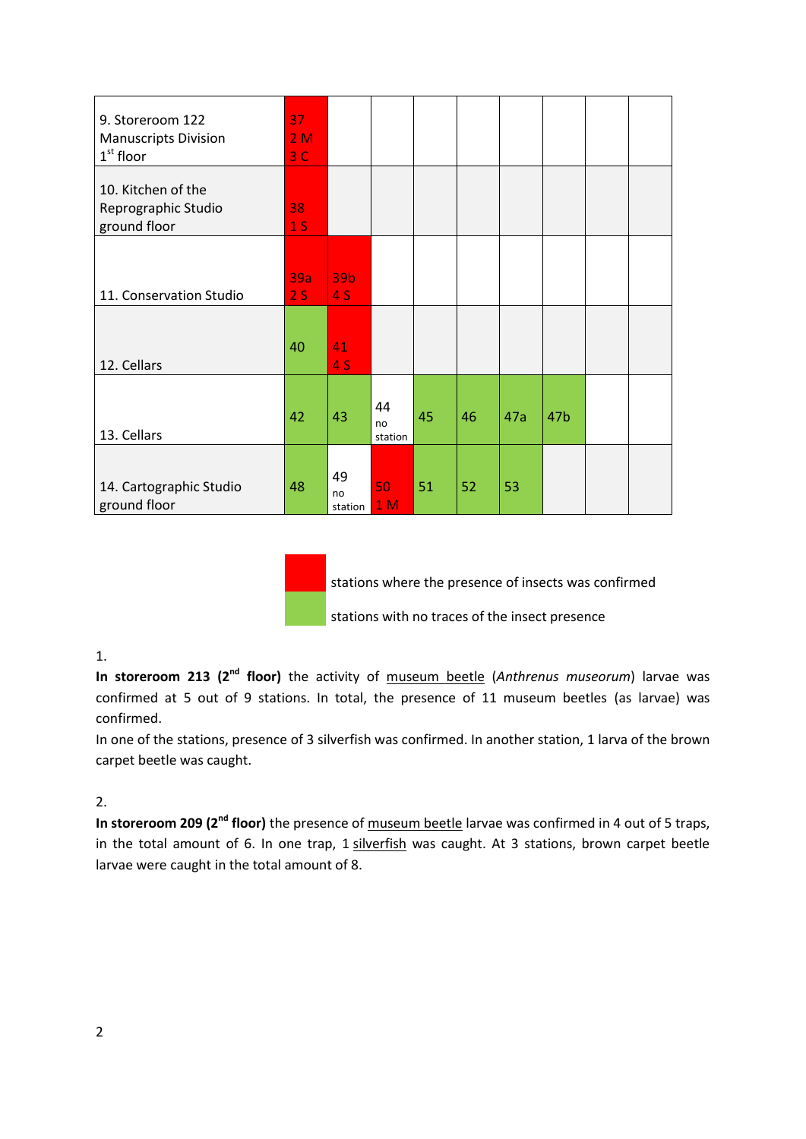| 9. Storeroom 122<br><b>Manuscripts Division</b><br>$1st$ floor | 37<br>2M<br>$3\overline{C}$ |                     |                     |    |    |     |                 |  |
|----------------------------------------------------------------|-----------------------------|---------------------|---------------------|----|----|-----|-----------------|--|
| 10. Kitchen of the<br>Reprographic Studio<br>ground floor      | 38<br>1 <sub>S</sub>        |                     |                     |    |    |     |                 |  |
| 11. Conservation Studio                                        | 39a<br>2S                   | 39b<br>4S           |                     |    |    |     |                 |  |
| 12. Cellars                                                    | 40                          | 41<br>4S            |                     |    |    |     |                 |  |
| 13. Cellars                                                    | 42                          | 43                  | 44<br>no<br>station | 45 | 46 | 47a | 47 <sub>b</sub> |  |
| 14. Cartographic Studio<br>ground floor                        | 48                          | 49<br>no<br>station | 50<br>1 M           | 51 | 52 | 53  |                 |  |

stations where the presence of insects was confirmed stations with no traces of the insect presence

## 1.

In storeroom 213 (2<sup>nd</sup> floor) the activity of museum beetle (Anthrenus museorum) larvae was confirmed at 5 out of 9 stations. In total, the presence of 11 museum beetles (as larvae) was confirmed.

In one of the stations, presence of 3 silverfish was confirmed. In another station, 1 larva of the brown carpet beetle was caught.

# 2.

**In storeroom 209 (2nd floor)** the presence of museum beetle larvae was confirmed in 4 out of 5 traps, in the total amount of 6. In one trap, 1 silverfish was caught. At 3 stations, brown carpet beetle larvae were caught in the total amount of 8.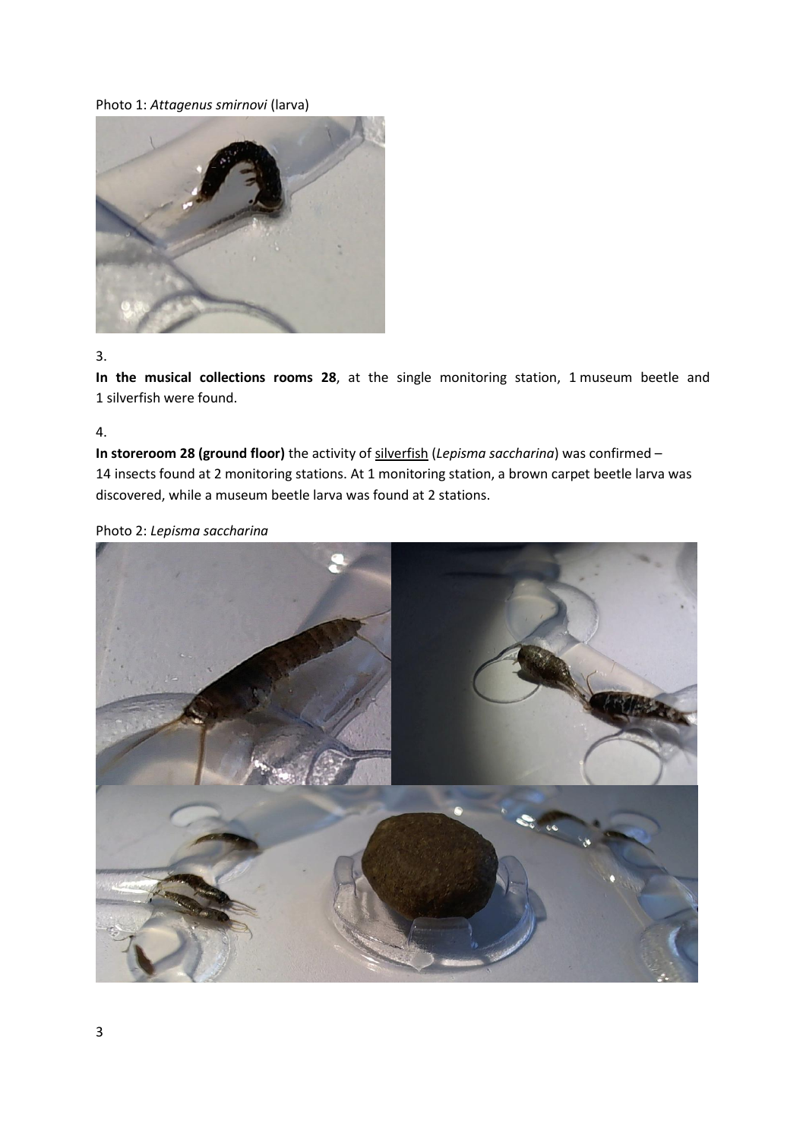## Photo 1: *Attagenus smirnovi* (larva)



#### 3.

**In the musical collections rooms 28**, at the single monitoring station, 1 museum beetle and 1 silverfish were found.

4.

**In storeroom 28 (ground floor)** the activity of silverfish (*Lepisma saccharina*) was confirmed – 14 insects found at 2 monitoring stations. At 1 monitoring station, a brown carpet beetle larva was discovered, while a museum beetle larva was found at 2 stations.

### Photo 2: *Lepisma saccharina*

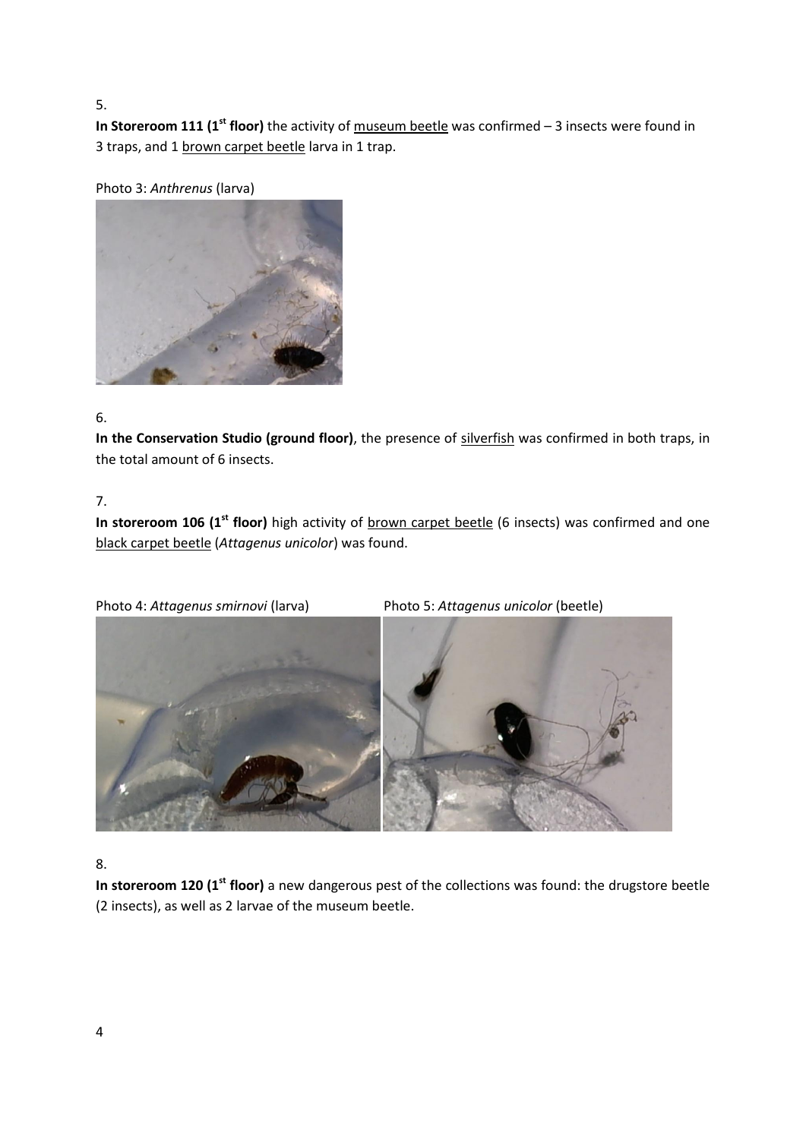5.

**In Storeroom 111 (1<sup>st</sup> floor)** the activity of museum beetle was confirmed – 3 insects were found in 3 traps, and 1 brown carpet beetle larva in 1 trap.

Photo 3: *Anthrenus* (larva)



# 6.

**In the Conservation Studio (ground floor)**, the presence of silverfish was confirmed in both traps, in the total amount of 6 insects.

# 7.

In storeroom 106 (1<sup>st</sup> floor) high activity of **brown** carpet beetle (6 insects) was confirmed and one black carpet beetle (*Attagenus unicolor*) was found.

Photo 4: *Attagenus smirnovi* (larva) Photo 5: *Attagenus unicolor* (beetle)



# 8.

**In storeroom 120 (1st floor)** a new dangerous pest of the collections was found: the drugstore beetle (2 insects), as well as 2 larvae of the museum beetle.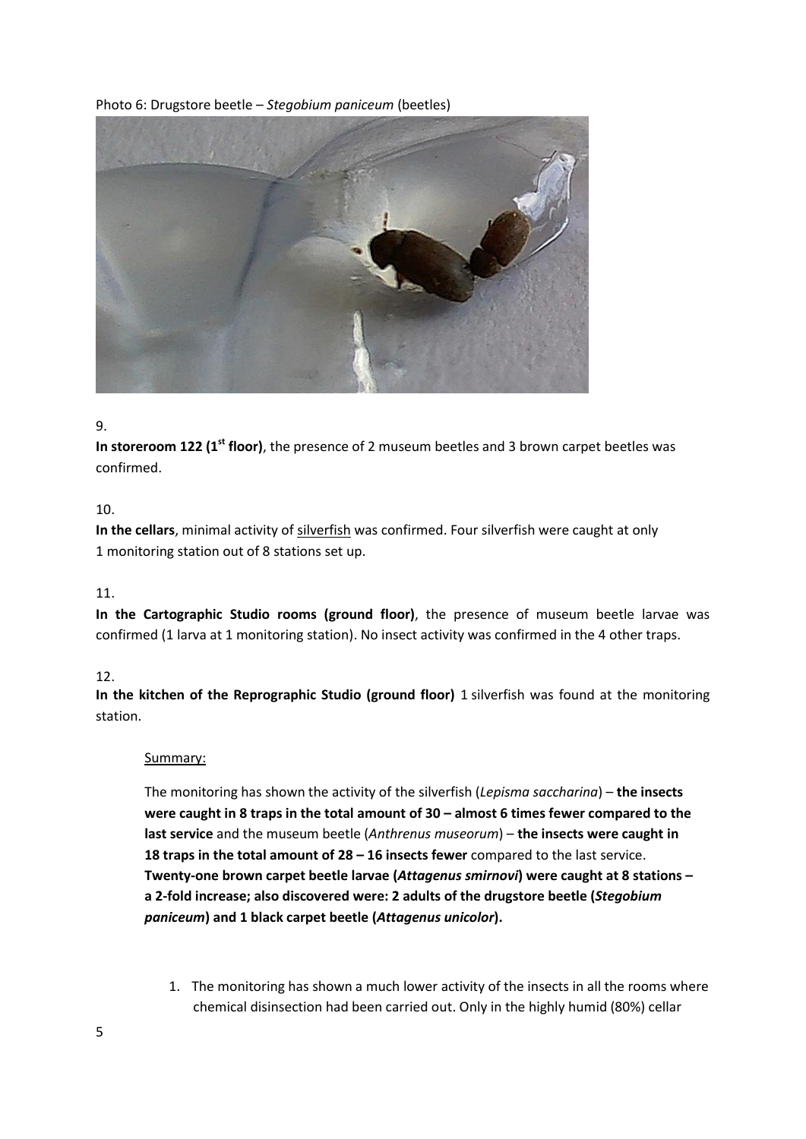# Photo 6: Drugstore beetle – *Stegobium paniceum* (beetles)



## 9.

**In storeroom 122 (1st floor)**, the presence of 2 museum beetles and 3 brown carpet beetles was confirmed.

# 10.

**In the cellars**, minimal activity of silverfish was confirmed. Four silverfish were caught at only 1 monitoring station out of 8 stations set up.

# 11.

**In the Cartographic Studio rooms (ground floor)**, the presence of museum beetle larvae was confirmed (1 larva at 1 monitoring station). No insect activity was confirmed in the 4 other traps.

# 12.

**In the kitchen of the Reprographic Studio (ground floor)** 1 silverfish was found at the monitoring station.

#### Summary:

The monitoring has shown the activity of the silverfish (*Lepisma saccharina*) – **the insects were caught in 8 traps in the total amount of 30 – almost 6 times fewer compared to the last service** and the museum beetle (*Anthrenus museorum*) – **the insects were caught in 18 traps in the total amount of 28 – 16 insects fewer** compared to the last service. **Twenty-one brown carpet beetle larvae (***Attagenus smirnovi***) were caught at 8 stations – a 2-fold increase; also discovered were: 2 adults of the drugstore beetle (***Stegobium paniceum***) and 1 black carpet beetle (***Attagenus unicolor***).**

1. The monitoring has shown a much lower activity of the insects in all the rooms where chemical disinsection had been carried out. Only in the highly humid (80%) cellar